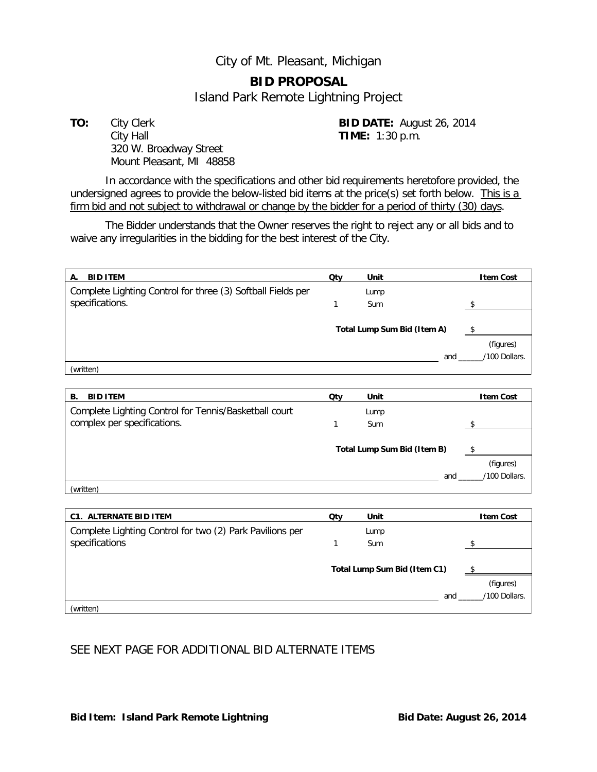## City of Mt. Pleasant, Michigan

## **BID PROPOSAL**

Island Park Remote Lightning Project

**TO:** City Clerk **BID DATE:** August 26, 2014 City Hall **TIME:** 1:30 p.m. 320 W. Broadway Street Mount Pleasant, MI 48858

In accordance with the specifications and other bid requirements heretofore provided, the undersigned agrees to provide the below-listed bid items at the price(s) set forth below. This is a firm bid and not subject to withdrawal or change by the bidder for a period of thirty (30) days.

The Bidder understands that the Owner reserves the right to reject any or all bids and to waive any irregularities in the bidding for the best interest of the City.

| <b>BID ITEM</b><br>А.                                       | Qty | Unit                        | <b>Item Cost</b> |
|-------------------------------------------------------------|-----|-----------------------------|------------------|
| Complete Lighting Control for three (3) Softball Fields per |     | Lump                        |                  |
| specifications.                                             |     | <b>Sum</b>                  |                  |
|                                                             |     |                             |                  |
|                                                             |     | Total Lump Sum Bid (Item A) |                  |
|                                                             |     |                             | (figures)        |
|                                                             |     | and                         | /100 Dollars.    |
| (written)                                                   |     |                             |                  |
|                                                             |     |                             |                  |
| <b>BID ITEM</b><br>В.                                       | Qty | Unit                        | <b>Item Cost</b> |
| Complete Lighting Control for Tennis/Basketball court       |     | Lump                        |                  |
| complex per specifications.                                 |     | Sum                         |                  |

| Total Lump Sum Bid (Item B) | S                          |
|-----------------------------|----------------------------|
| and                         | (figures)<br>/100 Dollars. |

| <b>C1. ALTERNATE BID ITEM</b>                            | Qty | Unit                         | <b>Item Cost</b> |
|----------------------------------------------------------|-----|------------------------------|------------------|
| Complete Lighting Control for two (2) Park Pavilions per |     | Lump                         |                  |
| specifications                                           |     | <b>Sum</b>                   |                  |
|                                                          |     | Total Lump Sum Bid (Item C1) |                  |
|                                                          |     |                              | (figures)        |
|                                                          |     | and                          | /100 Dollars.    |
| (written)                                                |     |                              |                  |

## SEE NEXT PAGE FOR ADDITIONAL BID ALTERNATE ITEMS

(written)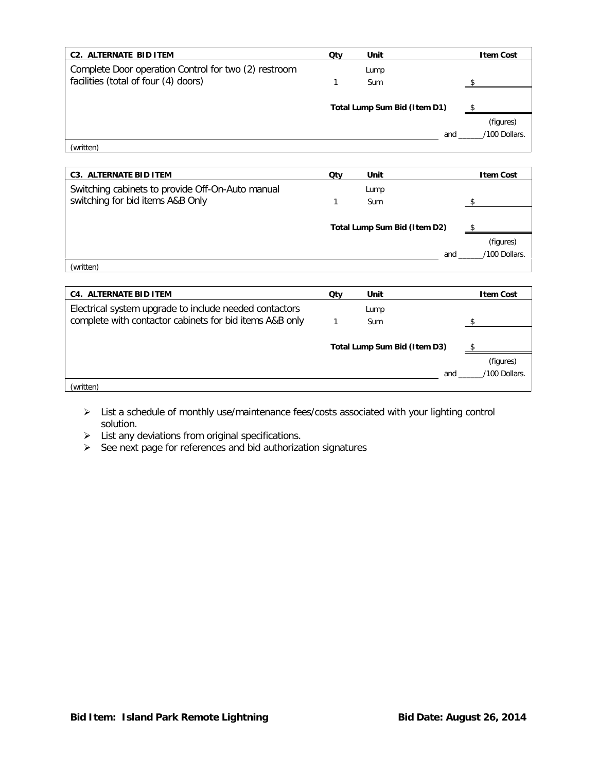| <b>C2. ALTERNATE BID ITEM</b>                        | Qty | Unit                         | <b>Item Cost</b> |
|------------------------------------------------------|-----|------------------------------|------------------|
| Complete Door operation Control for two (2) restroom |     | Lump                         |                  |
| facilities (total of four (4) doors)                 |     | Sum                          |                  |
|                                                      |     |                              |                  |
|                                                      |     | Total Lump Sum Bid (Item D1) |                  |
|                                                      |     |                              | (figures)        |
|                                                      |     | and                          | /100 Dollars.    |
| (written)                                            |     |                              |                  |

| <b>C3. ALTERNATE BID ITEM</b>                    | Qtv | Unit                         | <b>Item Cost</b> |
|--------------------------------------------------|-----|------------------------------|------------------|
| Switching cabinets to provide Off-On-Auto manual |     | Lump                         |                  |
| switching for bid items A&B Only                 |     | Sum                          |                  |
|                                                  |     |                              |                  |
|                                                  |     | Total Lump Sum Bid (Item D2) |                  |
|                                                  |     |                              | (figures)        |
|                                                  |     | and                          | /100 Dollars.    |
| (written)                                        |     |                              |                  |

| <b>C4. ALTERNATE BID ITEM</b>                           | Qty | Unit                         | <b>Item Cost</b> |
|---------------------------------------------------------|-----|------------------------------|------------------|
| Electrical system upgrade to include needed contactors  |     | Lump                         |                  |
| complete with contactor cabinets for bid items A&B only |     | <b>Sum</b>                   |                  |
|                                                         |     |                              |                  |
|                                                         |     | Total Lump Sum Bid (Item D3) |                  |
|                                                         |     |                              | (figures)        |
|                                                         |     | and                          | /100 Dollars.    |
| (written)                                               |     |                              |                  |

- List a schedule of monthly use/maintenance fees/costs associated with your lighting control solution.
- $\triangleright$  List any deviations from original specifications.
- $\triangleright$  See next page for references and bid authorization signatures